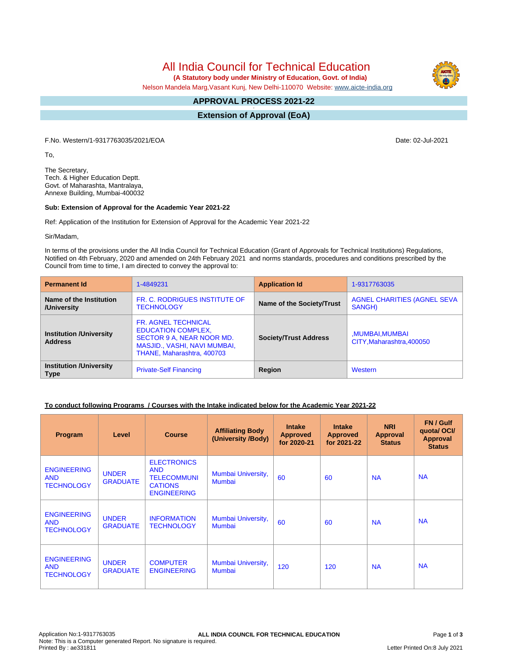All India Council for Technical Education

 **(A Statutory body under Ministry of Education, Govt. of India)**

Nelson Mandela Marg,Vasant Kunj, New Delhi-110070 Website: [www.aicte-india.org](http://www.aicte-india.org)

#### **APPROVAL PROCESS 2021-22 -**

**Extension of Approval (EoA)**

F.No. Western/1-9317763035/2021/EOA Date: 02-Jul-2021

To,

The Secretary, Tech. & Higher Education Deptt. Govt. of Maharashta, Mantralaya, Annexe Building, Mumbai-400032

#### **Sub: Extension of Approval for the Academic Year 2021-22**

Ref: Application of the Institution for Extension of Approval for the Academic Year 2021-22

Sir/Madam,

In terms of the provisions under the All India Council for Technical Education (Grant of Approvals for Technical Institutions) Regulations, Notified on 4th February, 2020 and amended on 24th February 2021 and norms standards, procedures and conditions prescribed by the Council from time to time, I am directed to convey the approval to:

| <b>Permanent Id</b>                              | 1-4849231                                                                                                                                          | <b>Application Id</b>        | 1-9317763035                                |
|--------------------------------------------------|----------------------------------------------------------------------------------------------------------------------------------------------------|------------------------------|---------------------------------------------|
| Name of the Institution<br>/University           | FR. C. RODRIGUES INSTITUTE OF<br><b>TECHNOLOGY</b>                                                                                                 | Name of the Society/Trust    | AGNEL CHARITIES (AGNEL SEVA<br>SANGH)       |
| <b>Institution /University</b><br><b>Address</b> | <b>FR. AGNEL TECHNICAL</b><br><b>EDUCATION COMPLEX,</b><br>SECTOR 9 A, NEAR NOOR MD.<br>MASJID., VASHI, NAVI MUMBAI,<br>THANE, Maharashtra, 400703 | <b>Society/Trust Address</b> | MUMBAI, MUMBAI<br>CITY, Maharashtra, 400050 |
| <b>Institution /University</b><br><b>Type</b>    | <b>Private-Self Financing</b>                                                                                                                      | Region                       | Western                                     |

### **To conduct following Programs / Courses with the Intake indicated below for the Academic Year 2021-22**

| Program                                               | Level                           | <b>Course</b>                                                                                  | <b>Affiliating Body</b><br>(University /Body) | <b>Intake</b><br><b>Approved</b><br>for 2020-21 | <b>Intake</b><br><b>Approved</b><br>for 2021-22 | <b>NRI</b><br>Approval<br><b>Status</b> | FN / Gulf<br>quotal OCI/<br><b>Approval</b><br><b>Status</b> |
|-------------------------------------------------------|---------------------------------|------------------------------------------------------------------------------------------------|-----------------------------------------------|-------------------------------------------------|-------------------------------------------------|-----------------------------------------|--------------------------------------------------------------|
| <b>ENGINEERING</b><br><b>AND</b><br><b>TECHNOLOGY</b> | <b>UNDER</b><br><b>GRADUATE</b> | <b>ELECTRONICS</b><br><b>AND</b><br><b>TELECOMMUNI</b><br><b>CATIONS</b><br><b>ENGINEERING</b> | Mumbai University,<br><b>Mumbai</b>           | 60                                              | 60                                              | <b>NA</b>                               | <b>NA</b>                                                    |
| <b>ENGINEERING</b><br><b>AND</b><br><b>TECHNOLOGY</b> | <b>UNDER</b><br><b>GRADUATE</b> | <b>INFORMATION</b><br><b>TECHNOLOGY</b>                                                        | Mumbai University,<br>Mumbai                  | 60                                              | 60                                              | <b>NA</b>                               | <b>NA</b>                                                    |
| <b>ENGINEERING</b><br><b>AND</b><br><b>TECHNOLOGY</b> | <b>UNDER</b><br><b>GRADUATE</b> | <b>COMPUTER</b><br><b>ENGINEERING</b>                                                          | Mumbai University,<br>Mumbai                  | 120                                             | 120                                             | <b>NA</b>                               | <b>NA</b>                                                    |

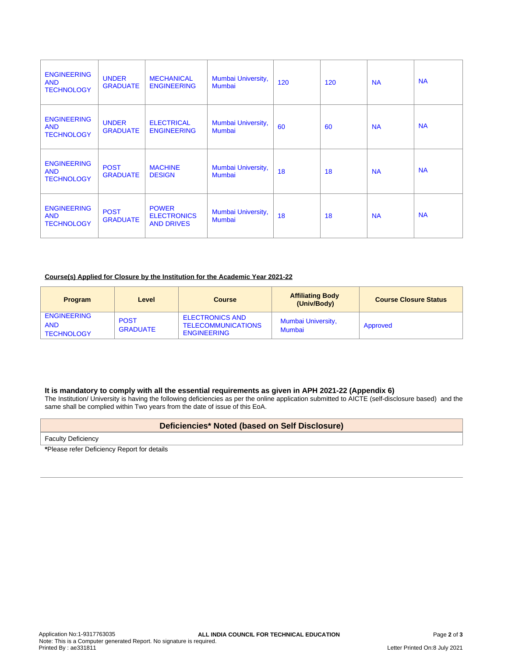| <b>ENGINEERING</b><br><b>AND</b><br><b>TECHNOLOGY</b> | <b>UNDER</b><br><b>GRADUATE</b> | <b>MECHANICAL</b><br><b>ENGINEERING</b>                 | Mumbai University,<br>Mumbai | 120 | 120 | <b>NA</b> | <b>NA</b> |
|-------------------------------------------------------|---------------------------------|---------------------------------------------------------|------------------------------|-----|-----|-----------|-----------|
| <b>ENGINEERING</b><br><b>AND</b><br><b>TECHNOLOGY</b> | <b>UNDER</b><br><b>GRADUATE</b> | <b>ELECTRICAL</b><br><b>ENGINEERING</b>                 | Mumbai University,<br>Mumbai | 60  | 60  | <b>NA</b> | <b>NA</b> |
| <b>ENGINEERING</b><br><b>AND</b><br><b>TECHNOLOGY</b> | <b>POST</b><br><b>GRADUATE</b>  | <b>MACHINE</b><br><b>DESIGN</b>                         | Mumbai University,<br>Mumbai | 18  | 18  | <b>NA</b> | <b>NA</b> |
| <b>ENGINEERING</b><br><b>AND</b><br><b>TECHNOLOGY</b> | <b>POST</b><br><b>GRADUATE</b>  | <b>POWER</b><br><b>ELECTRONICS</b><br><b>AND DRIVES</b> | Mumbai University,<br>Mumbai | 18  | 18  | <b>NA</b> | <b>NA</b> |

### **Course(s) Applied for Closure by the Institution for the Academic Year 2021-22**

| <b>Program</b>                                        | Level                          | <b>Course</b>                                                             | <b>Affiliating Body</b><br>(Univ/Body) | <b>Course Closure Status</b> |
|-------------------------------------------------------|--------------------------------|---------------------------------------------------------------------------|----------------------------------------|------------------------------|
| <b>ENGINEERING</b><br><b>AND</b><br><b>TECHNOLOGY</b> | <b>POST</b><br><b>GRADUATE</b> | <b>ELECTRONICS AND</b><br><b>TELECOMMUNICATIONS</b><br><b>ENGINEERING</b> | Mumbai University,<br><b>Mumbai</b>    | Approved                     |

### **It is mandatory to comply with all the essential requirements as given in APH 2021-22 (Appendix 6)**

The Institution/ University is having the following deficiencies as per the online application submitted to AICTE (self-disclosure based) and the same shall be complied within Two years from the date of issue of this EoA.

## **Deficiencies\* Noted (based on Self Disclosure)**

Faculty Deficiency

**\***Please refer Deficiency Report for details